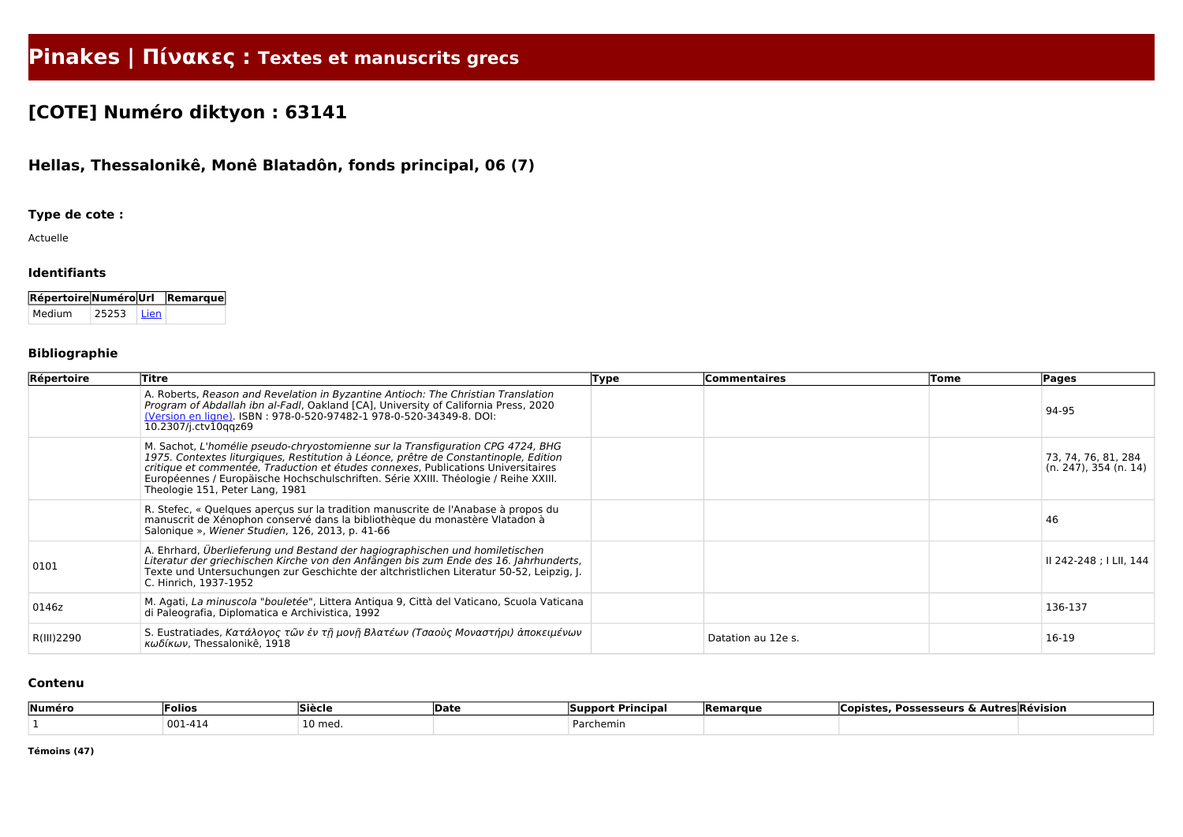# **Pinakes | Πίνακες : Textes et manuscrits grecs**

# **[COTE] Numéro diktyon : 63141**

# **Hellas, Thessalonikê, Monê Blatadôn, fonds principal, 06 (7)**

## **Type de cote :**

Actuelle

#### **Identifiants**

| Répertoire Numéro Url Remarque |       |        |  |
|--------------------------------|-------|--------|--|
| Medium                         | 25253 | l Lien |  |

### **Bibliographie**

| Répertoire | Titre                                                                                                                                                                                                                                                                                                                                                                                  | <b>Type</b> | <b>Commentaires</b> | <b>Tome</b> | <b>Pages</b>                                    |
|------------|----------------------------------------------------------------------------------------------------------------------------------------------------------------------------------------------------------------------------------------------------------------------------------------------------------------------------------------------------------------------------------------|-------------|---------------------|-------------|-------------------------------------------------|
|            | A. Roberts, Reason and Revelation in Byzantine Antioch: The Christian Translation<br>Program of Abdallah ibn al-Fadl, Oakland [CA], University of California Press, 2020<br>(Version en ligne). ISBN: 978-0-520-97482-1 978-0-520-34349-8. DOI:<br>10.2307/j.ctv10qqz69                                                                                                                |             |                     |             | 94-95                                           |
|            | M. Sachot, L'homélie pseudo-chryostomienne sur la Transfiguration CPG 4724, BHG<br>1975. Contextes liturgiques, Restitution à Léonce, prêtre de Constantinople, Edition<br>critique et commentée, Traduction et études connexes, Publications Universitaires<br>Européennes / Europäische Hochschulschriften. Série XXIII. Théologie / Reihe XXIII.<br>Theologie 151, Peter Lang, 1981 |             |                     |             | 73, 74, 76, 81, 284<br>$(n. 247)$ , 354 (n. 14) |
|            | R. Stefec, « Quelques aperçus sur la tradition manuscrite de l'Anabase à propos du<br>manuscrit de Xénophon conservé dans la bibliothèque du monastère Vlatadon à<br>Salonique », Wiener Studien, 126, 2013, p. 41-66                                                                                                                                                                  |             |                     |             | 46                                              |
| 0101       | A. Ehrhard, Überlieferung und Bestand der hagiographischen und homiletischen<br>Literatur der griechischen Kirche von den Anfängen bis zum Ende des 16. Jahrhunderts,<br>Texte und Untersuchungen zur Geschichte der altchristlichen Literatur 50-52, Leipzig, J.<br>C. Hinrich, 1937-1952                                                                                             |             |                     |             | II 242-248 ; I LII, 144                         |
| 0146z      | M. Agati, La minuscola "bouletée", Littera Antiqua 9, Città del Vaticano, Scuola Vaticana<br>di Paleografia, Diplomatica e Archivistica, 1992                                                                                                                                                                                                                                          |             |                     |             | 136-137                                         |
| R(III)2290 | S. Eustratiades, Κατάλογος τῶν ἐν τῆ μονῆ Βλατέων (Τσαοὺς Μοναστήρι) ἀποκειμένων<br>κωδίκων, Thessalonikê, 1918                                                                                                                                                                                                                                                                        |             | Datation au 12e s.  |             | 16-19                                           |

#### **Contenu**

| 'Numér、 | ollo     | .<br>$\mathbf{A}$ | <b>IDate</b> | rıncıpal  | raur | <b>Autre</b><br>பா | <b>4</b> ISION<br>,,,,, |
|---------|----------|-------------------|--------------|-----------|------|--------------------|-------------------------|
|         | nn<br>◡◡ | 115.              |              | 'archemin |      |                    |                         |

**Témoins (47)**

| <b>Possesseurs &amp; Autres Révision</b> |  |
|------------------------------------------|--|
|                                          |  |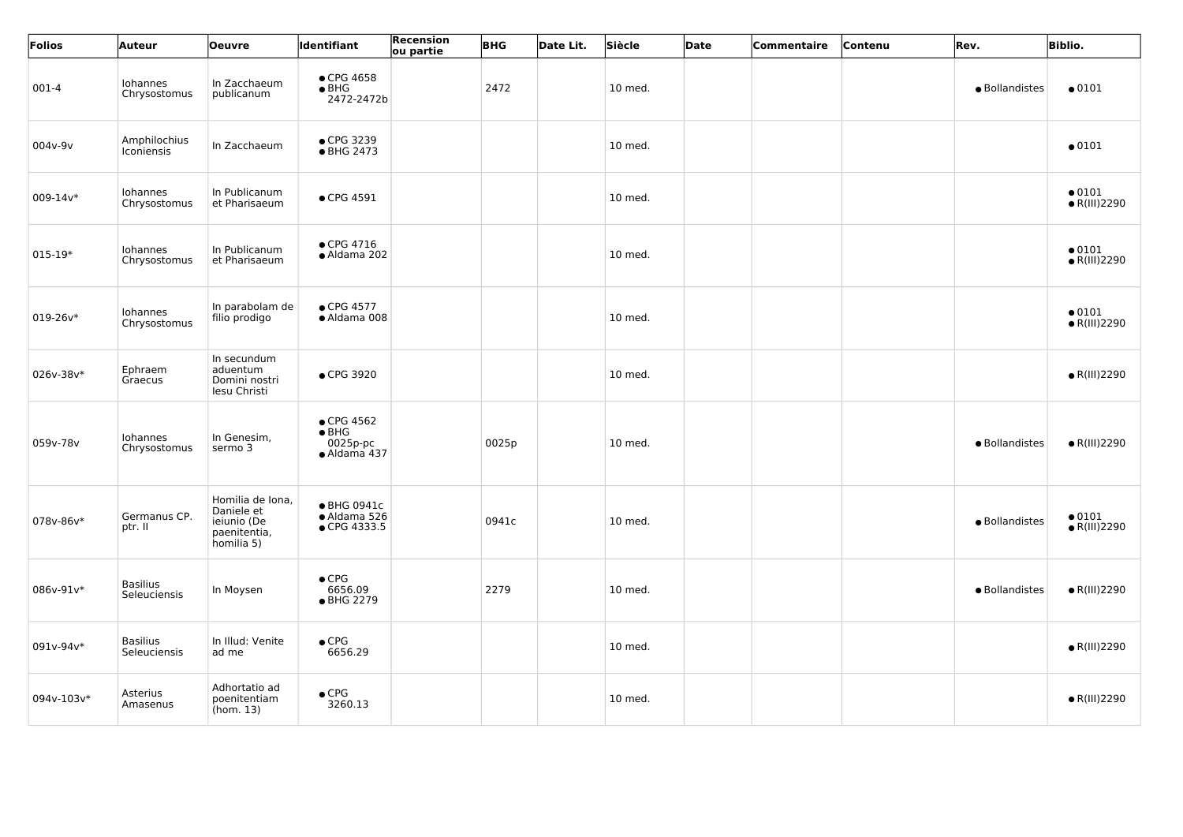| Folios      | Auteur                          | <b>Oeuvre</b>                                                               | Identifiant                                             | <b>Recension</b><br>ou partie | <b>BHG</b> | Date Lit. | Siècle<br>Date | Commentaire | Contenu | Rev.           | <b>Biblio.</b>                         |
|-------------|---------------------------------|-----------------------------------------------------------------------------|---------------------------------------------------------|-------------------------------|------------|-----------|----------------|-------------|---------|----------------|----------------------------------------|
| $001-4$     | Iohannes<br>Chrysostomus        | In Zacchaeum<br>publicanum                                                  | • CPG 4658<br>$\bullet$ BHG<br>2472-2472b               |                               | 2472       |           | 10 med.        |             |         | · Bollandistes | $\bullet$ 0101                         |
| 004v-9v     | Amphilochius<br>Iconiensis      | In Zacchaeum                                                                | • CPG 3239<br>• BHG 2473                                |                               |            |           | 10 med.        |             |         |                | $\bullet$ 0101                         |
| 009-14v*    | Iohannes<br>Chrysostomus        | In Publicanum<br>et Pharisaeum                                              | • CPG 4591                                              |                               |            |           | 10 med.        |             |         |                | $\bullet$ 0101<br>$\bullet$ R(III)2290 |
| $015 - 19*$ | Iohannes<br>Chrysostomus        | In Publicanum<br>et Pharisaeum                                              | $\bullet$ CPG 4716<br>• Aldama 202                      |                               |            |           | 10 med.        |             |         |                | $\bullet$ 0101<br>$\bullet$ R(III)2290 |
| 019-26v*    | Iohannes<br>Chrysostomus        | In parabolam de<br>filio prodigo                                            | $\bullet$ CPG 4577<br>· Aldama 008                      |                               |            |           | 10 med.        |             |         |                | $\bullet$ 0101<br>$\bullet$ R(III)2290 |
| 026v-38v*   | Ephraem<br>Graecus              | In secundum<br>aduentum<br>Domini nostri<br>lesu Christi                    | • CPG 3920                                              |                               |            |           | 10 med.        |             |         |                | $\bullet$ R(III)2290                   |
| 059v-78v    | Iohannes<br>Chrysostomus        | In Genesim,<br>sermo 3                                                      | • CPG 4562<br>$\bullet$ BHG<br>0025p-pc<br>· Aldama 437 |                               | 0025p      |           | 10 med.        |             |         | • Bollandistes | $\bullet$ R(III)2290                   |
| 078v-86v*   | Germanus CP.<br>ptr. II         | Homilia de Iona,<br>Daniele et<br>ieiunio (De<br>paenitentia,<br>homilia 5) | • BHG 0941c<br>• Aldama 526<br>• CPG 4333.5             |                               | 0941c      |           | 10 med.        |             |         | · Bollandistes | $\bullet$ 0101<br>$\bullet$ R(III)2290 |
| 086v-91v*   | <b>Basilius</b><br>Seleuciensis | In Moysen                                                                   | $\bullet$ CPG<br>6656.09<br>● BHG 2279                  |                               | 2279       |           | 10 med.        |             |         | · Bollandistes | $\bullet$ R(III)2290                   |
| 091v-94v*   | <b>Basilius</b><br>Seleuciensis | In Illud: Venite<br>ad me                                                   | $\bullet$ CPG<br>6656.29                                |                               |            |           | 10 med.        |             |         |                | $\bullet$ R(III)2290                   |
| 094v-103v*  | Asterius<br>Amasenus            | Adhortatio ad<br>poenitentiam<br>(hom. 13)                                  | $\bullet$ CPG<br>3260.13                                |                               |            |           | 10 med.        |             |         |                | $\bullet$ R(III)2290                   |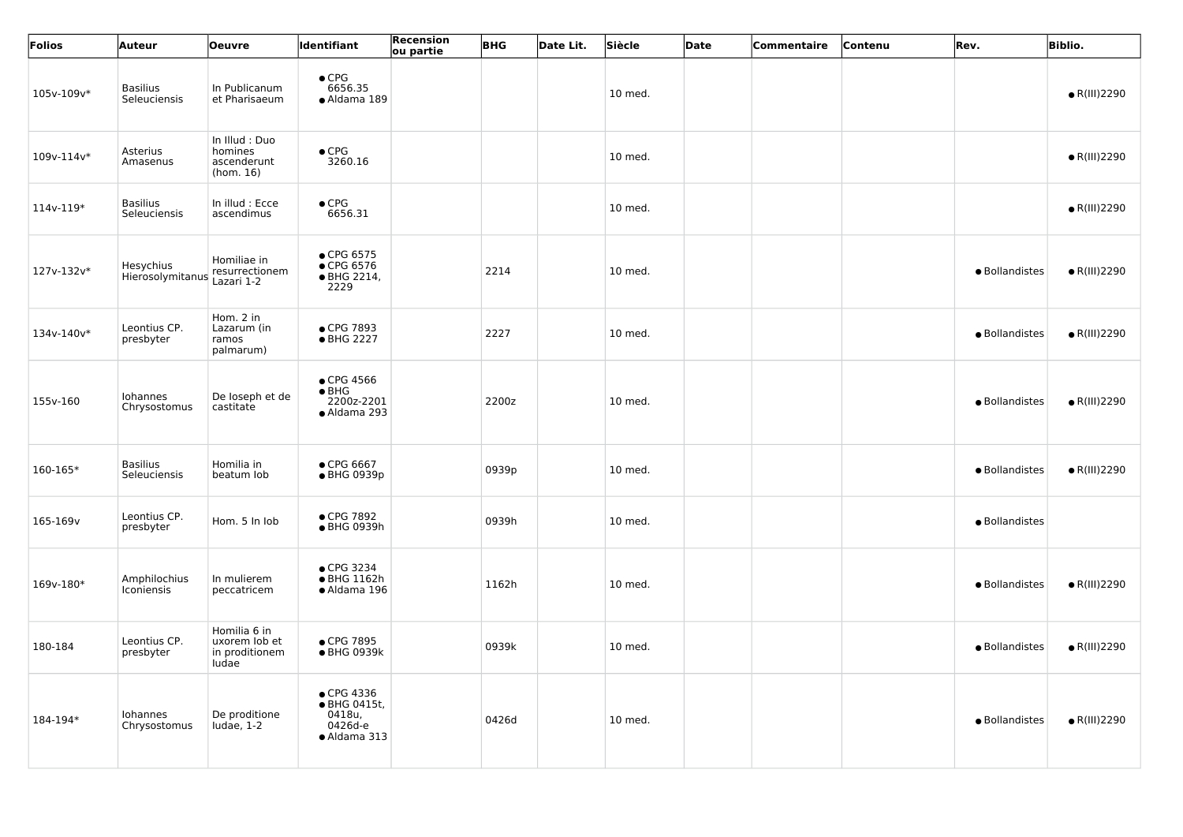| Folios       | <b>Auteur</b>                   | <b>Oeuvre</b>                                            | <b>Identifiant</b>                                              | <b>Recension</b><br>ou partie | <b>BHG</b> | Date Lit. | Siècle  | Date | <b>Commentaire</b> | Contenu | Rev.           | <b>Biblio.</b>       |
|--------------|---------------------------------|----------------------------------------------------------|-----------------------------------------------------------------|-------------------------------|------------|-----------|---------|------|--------------------|---------|----------------|----------------------|
| 105v-109v*   | <b>Basilius</b><br>Seleuciensis | In Publicanum<br>et Pharisaeum                           | $\bullet$ CPG<br>6656.35<br>· Aldama 189                        |                               |            |           | 10 med. |      |                    |         |                | $\bullet$ R(III)2290 |
| 109v-114v*   | Asterius<br>Amasenus            | In Illud : Duo<br>homines<br>ascenderunt<br>(hom. 16)    | $\bullet$ CPG<br>3260.16                                        |                               |            |           | 10 med. |      |                    |         |                | $\bullet$ R(III)2290 |
| 114v-119*    | <b>Basilius</b><br>Seleuciensis | In illud : Ecce<br>ascendimus                            | $\bullet$ CPG<br>6656.31                                        |                               |            |           | 10 med. |      |                    |         |                | $\bullet$ R(III)2290 |
| 127v-132v*   | Hesychius<br>Hierosolymitanus   | Homiliae in<br>resurrectionem<br>Lazari 1-2              | • CPG 6575<br>• CPG 6576<br>● BHG 2214,<br>2229                 |                               | 2214       |           | 10 med. |      |                    |         | · Bollandistes | $\bullet$ R(III)2290 |
| 134v-140v*   | Leontius CP.<br>presbyter       | Hom. 2 in<br>Lazarum (in<br>ramos<br>palmarum)           | • CPG 7893<br>● BHG 2227                                        |                               | 2227       |           | 10 med. |      |                    |         | · Bollandistes | $\bullet$ R(III)2290 |
| 155v-160     | Iohannes<br>Chrysostomus        | De loseph et de<br>castitate                             | • CPG 4566<br>$\bullet$ BHG<br>2200z-2201<br>• Aldama 293       |                               | 2200z      |           | 10 med. |      |                    |         | · Bollandistes | $\bullet$ R(III)2290 |
| $160 - 165*$ | <b>Basilius</b><br>Seleuciensis | Homilia in<br>beatum lob                                 | • CPG 6667<br>● BHG 0939p                                       |                               | 0939p      |           | 10 med. |      |                    |         | · Bollandistes | $\bullet$ R(III)2290 |
| 165-169v     | Leontius CP.<br>presbyter       | Hom. 5 In lob                                            | ● CPG 7892<br>● BHG 0939h                                       |                               | 0939h      |           | 10 med. |      |                    |         | · Bollandistes |                      |
| 169v-180*    | Amphilochius<br>Iconiensis      | In mulierem<br>peccatricem                               | • CPG 3234<br>$\bullet$ BHG 1162h<br>· Aldama 196               |                               | 1162h      |           | 10 med. |      |                    |         | · Bollandistes | $\bullet$ R(III)2290 |
| 180-184      | Leontius CP.<br>presbyter       | Homilia 6 in<br>uxorem lob et<br>in proditionem<br>ludae | • CPG 7895<br>● BHG 0939k                                       |                               | 0939k      |           | 10 med. |      |                    |         | · Bollandistes | $\bullet$ R(III)2290 |
| 184-194*     | Iohannes<br>Chrysostomus        | De proditione<br>ludae, 1-2                              | • CPG 4336<br>• BHG 0415t,<br>0418u,<br>0426d-e<br>• Aldama 313 |                               | 0426d      |           | 10 med. |      |                    |         | · Bollandistes | $\bullet$ R(III)2290 |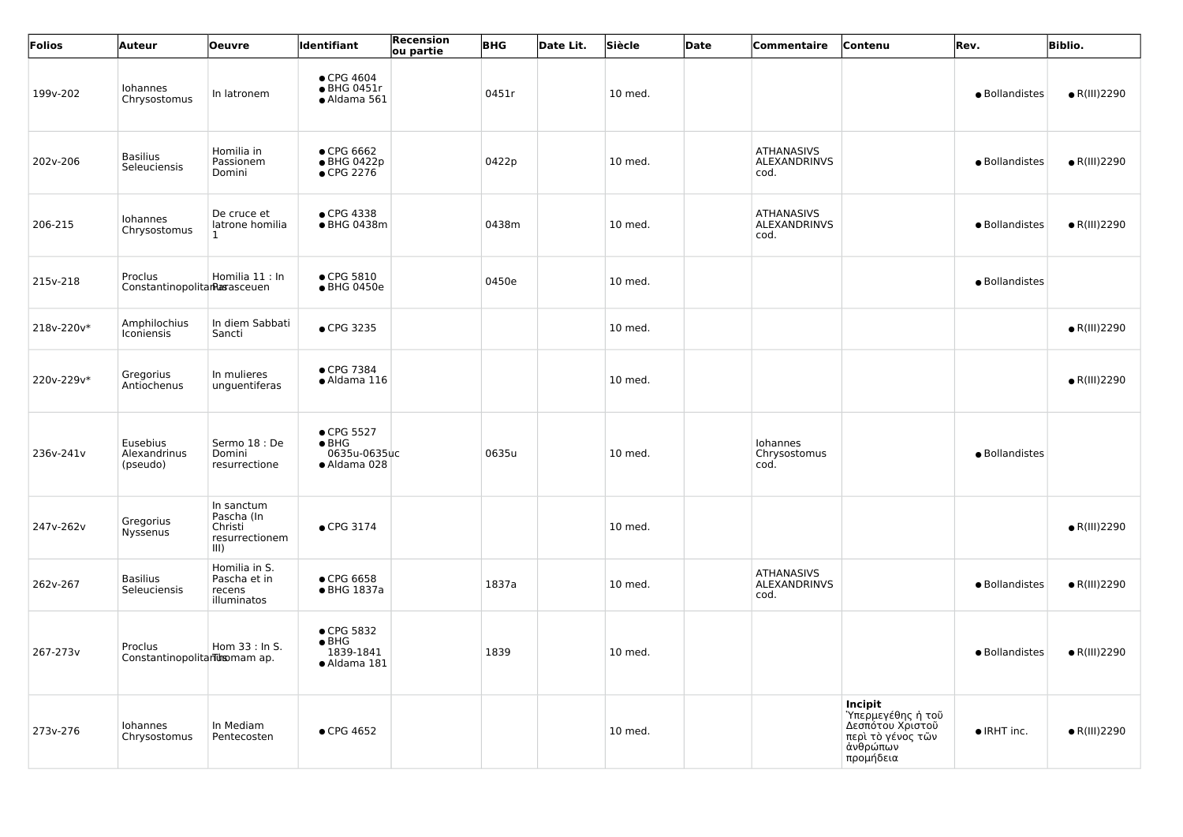| Folios     | <b>Auteur</b>                            | Oeuvre                                                        | <b>Identifiant</b>                                          | Recension<br>ou partie | <b>BHG</b> | Date Lit. | Siècle  | Date | Commentaire                                      | <b>Contenu</b>                                                                                 | Rev.                | <b>Biblio.</b>       |
|------------|------------------------------------------|---------------------------------------------------------------|-------------------------------------------------------------|------------------------|------------|-----------|---------|------|--------------------------------------------------|------------------------------------------------------------------------------------------------|---------------------|----------------------|
| 199v-202   | Iohannes<br>Chrysostomus                 | In latronem                                                   | $\bullet$ CPG 4604<br>$\bullet$ BHG 0451r<br>• Aldama 561   |                        | 0451r      |           | 10 med. |      |                                                  |                                                                                                | · Bollandistes      | $\bullet$ R(III)2290 |
| 202v-206   | <b>Basilius</b><br>Seleuciensis          | Homilia in<br>Passionem<br>Domini                             | • CPG 6662<br>● BHG 0422p<br>$\bullet$ CPG 2276             |                        | 0422p      |           | 10 med. |      | <b>ATHANASIVS</b><br>ALEXANDRINVS<br>cod.        |                                                                                                | · Bollandistes      | $\bullet$ R(III)2290 |
| 206-215    | Iohannes<br>Chrysostomus                 | De cruce et<br>latrone homilia                                | • CPG 4338<br>● BHG 0438m                                   |                        | 0438m      |           | 10 med. |      | <b>ATHANASIVS</b><br><b>ALEXANDRINVS</b><br>cod. |                                                                                                | · Bollandistes      | $\bullet$ R(III)2290 |
| 215v-218   | Proclus<br>ConstantinopolitarRasasceuen  | Homilia 11 : In                                               | $\bullet$ CPG 5810<br>• BHG 0450e                           |                        | 0450e      |           | 10 med. |      |                                                  |                                                                                                | · Bollandistes      |                      |
| 218v-220v* | Amphilochius<br>Iconiensis               | In diem Sabbati<br>Sancti                                     | • CPG 3235                                                  |                        |            |           | 10 med. |      |                                                  |                                                                                                |                     | $\bullet$ R(III)2290 |
| 220v-229v* | Gregorius<br>Antiochenus                 | In mulieres<br>unguentiferas                                  | ● CPG 7384<br>· Aldama 116                                  |                        |            |           | 10 med. |      |                                                  |                                                                                                |                     | $\bullet$ R(III)2290 |
| 236v-241v  | Eusebius<br>Alexandrinus<br>(pseudo)     | Sermo 18 : De<br>Domini<br>resurrectione                      | • CPG 5527<br>$\bullet$ BHG<br>0635u-0635uc<br>· Aldama 028 |                        | 0635u      |           | 10 med. |      | Iohannes<br>Chrysostomus<br>cod.                 |                                                                                                | · Bollandistes      |                      |
| 247v-262v  | Gregorius<br>Nyssenus                    | In sanctum<br>Pascha (In<br>Christi<br>resurrectionem<br>III) | • CPG 3174                                                  |                        |            |           | 10 med. |      |                                                  |                                                                                                |                     | $\bullet$ R(III)2290 |
| 262v-267   | <b>Basilius</b><br>Seleuciensis          | Homilia in S.<br>Pascha et in<br>recens<br>illuminatos        | • CPG 6658<br>• BHG 1837a                                   |                        | 1837a      |           | 10 med. |      | <b>ATHANASIVS</b><br>ALEXANDRINVS<br>cod.        |                                                                                                | · Bollandistes      | $\bullet$ R(III)2290 |
| 267-273v   | Proclus<br>ConstantinopolitarTumsmam ap. | Hom 33 : In S.                                                | • CPG 5832<br>$\bullet$ BHG<br>1839-1841<br>· Aldama 181    |                        | 1839       |           | 10 med. |      |                                                  |                                                                                                | · Bollandistes      | $\bullet$ R(III)2290 |
| 273v-276   | Iohannes<br>Chrysostomus                 | In Mediam<br>Pentecosten                                      | • CPG 4652                                                  |                        |            |           | 10 med. |      |                                                  | Incipit<br>Ύπερμεγέθης ή τοῦ<br>Δεσπότου Χριστοῦ<br>περὶ τὸ γένος τῶν<br>άνθρώπων<br>προμήδεια | $\bullet$ IRHT inc. | $\bullet$ R(III)2290 |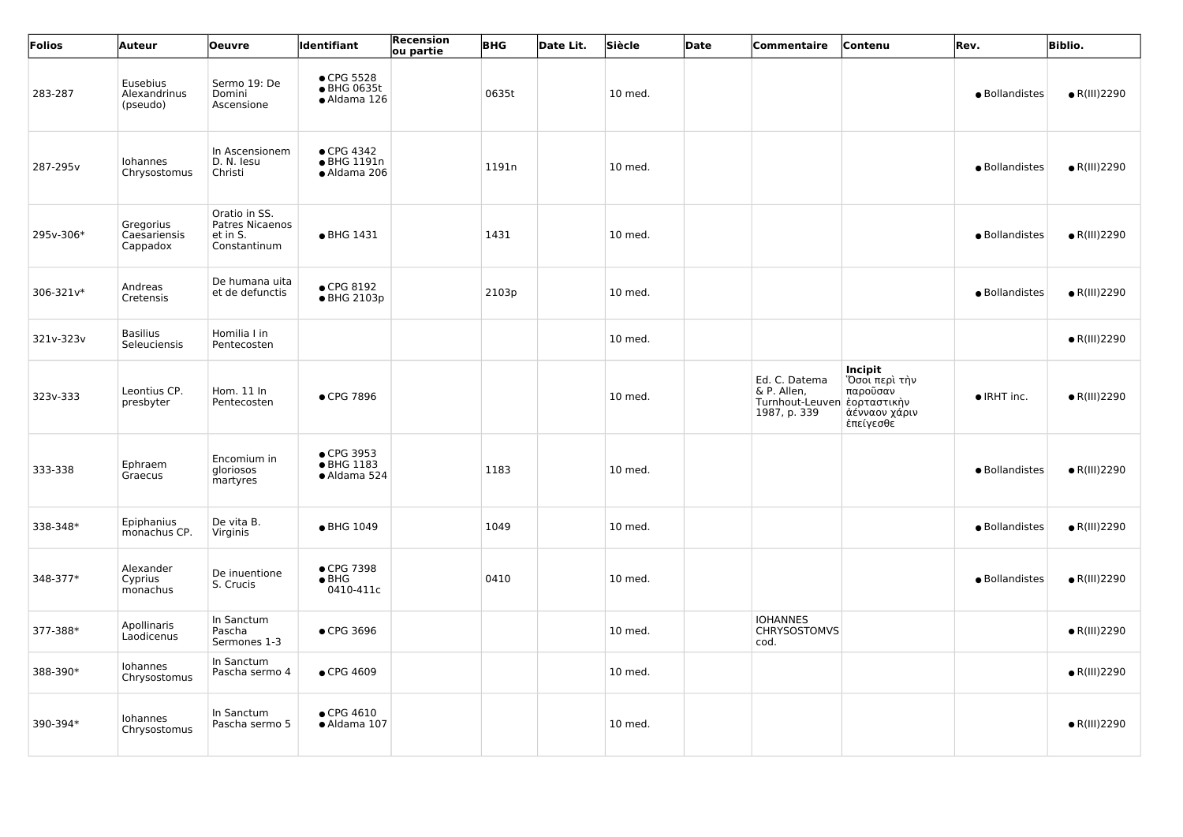| Folios    | Auteur                                | <b>Oeuvre</b>                                                | <b>Identifiant</b>                                | <b>Recension</b><br>ou partie | <b>BHG</b> | Date Lit. | Siècle  | <b>Date</b> | Commentaire                                                                 | Contenu                                                              | Rev.                | <b>Biblio.</b>       |
|-----------|---------------------------------------|--------------------------------------------------------------|---------------------------------------------------|-------------------------------|------------|-----------|---------|-------------|-----------------------------------------------------------------------------|----------------------------------------------------------------------|---------------------|----------------------|
| 283-287   | Eusebius<br>Alexandrinus<br>(pseudo)  | Sermo 19: De<br>Domini<br>Ascensione                         | • CPG 5528<br>● BHG 0635t<br>· Aldama 126         |                               | 0635t      |           | 10 med. |             |                                                                             |                                                                      | · Bollandistes      | $\bullet$ R(III)2290 |
| 287-295v  | Iohannes<br>Chrysostomus              | In Ascensionem<br>D. N. lesu<br>Christi                      | • CPG 4342<br>$\bullet$ BHG 1191n<br>· Aldama 206 |                               | 1191n      |           | 10 med. |             |                                                                             |                                                                      | · Bollandistes      | $\bullet$ R(III)2290 |
| 295v-306* | Gregorius<br>Caesariensis<br>Cappadox | Oratio in SS.<br>Patres Nicaenos<br>et in S.<br>Constantinum | • BHG 1431                                        |                               | 1431       |           | 10 med. |             |                                                                             |                                                                      | · Bollandistes      | $\bullet$ R(III)2290 |
| 306-321v* | Andreas<br>Cretensis                  | De humana uita<br>et de defunctis                            | $\bullet$ CPG 8192<br>● BHG 2103p                 |                               | 2103p      |           | 10 med. |             |                                                                             |                                                                      | · Bollandistes      | $\bullet$ R(III)2290 |
| 321v-323v | <b>Basilius</b><br>Seleuciensis       | Homilia I in<br>Pentecosten                                  |                                                   |                               |            |           | 10 med. |             |                                                                             |                                                                      |                     | $\bullet$ R(III)2290 |
| 323v-333  | Leontius CP.<br>presbyter             | Hom. 11 In<br>Pentecosten                                    | ● CPG 7896                                        |                               |            |           | 10 med. |             | Ed. C. Datema<br>& P. Allen,<br>Turnhout-Leuven εορταστικήν<br>1987, p. 339 | Incipit<br>Όσοι περί την<br>παροῦσαν<br>∣ ἀένναον χάριν<br>έπείγεσθε | $\bullet$ IRHT inc. | $\bullet$ R(III)2290 |
| 333-338   | Ephraem<br>Graecus                    | Encomium in<br>gloriosos<br>martyres                         | ● CPG 3953<br>• BHG 1183<br>• Aldama 524          |                               | 1183       |           | 10 med. |             |                                                                             |                                                                      | · Bollandistes      | $\bullet$ R(III)2290 |
| 338-348*  | Epiphanius<br>monachus CP.            | De vita B.<br>Virginis                                       | • BHG 1049                                        |                               | 1049       |           | 10 med. |             |                                                                             |                                                                      | · Bollandistes      | $\bullet$ R(III)2290 |
| 348-377*  | Alexander<br>Cyprius<br>monachus      | De inuentione<br>S. Crucis                                   | • CPG 7398<br>$\bullet$ BHG<br>0410-411c          |                               | 0410       |           | 10 med. |             |                                                                             |                                                                      | · Bollandistes      | $\bullet$ R(III)2290 |
| 377-388*  | Apollinaris<br>Laodicenus             | In Sanctum<br>Pascha<br>Sermones 1-3                         | ● CPG 3696                                        |                               |            |           | 10 med. |             | <b>IOHANNES</b><br><b>CHRYSOSTOMVS</b><br>cod.                              |                                                                      |                     | $\bullet$ R(III)2290 |
| 388-390*  | Iohannes<br>Chrysostomus              | In Sanctum<br>Pascha sermo 4                                 | $\bullet$ CPG 4609                                |                               |            |           | 10 med. |             |                                                                             |                                                                      |                     | $\bullet$ R(III)2290 |
| 390-394*  | Iohannes<br>Chrysostomus              | In Sanctum<br>Pascha sermo 5                                 | $\bullet$ CPG 4610<br>· Aldama 107                |                               |            |           | 10 med. |             |                                                                             |                                                                      |                     | $\bullet$ R(III)2290 |